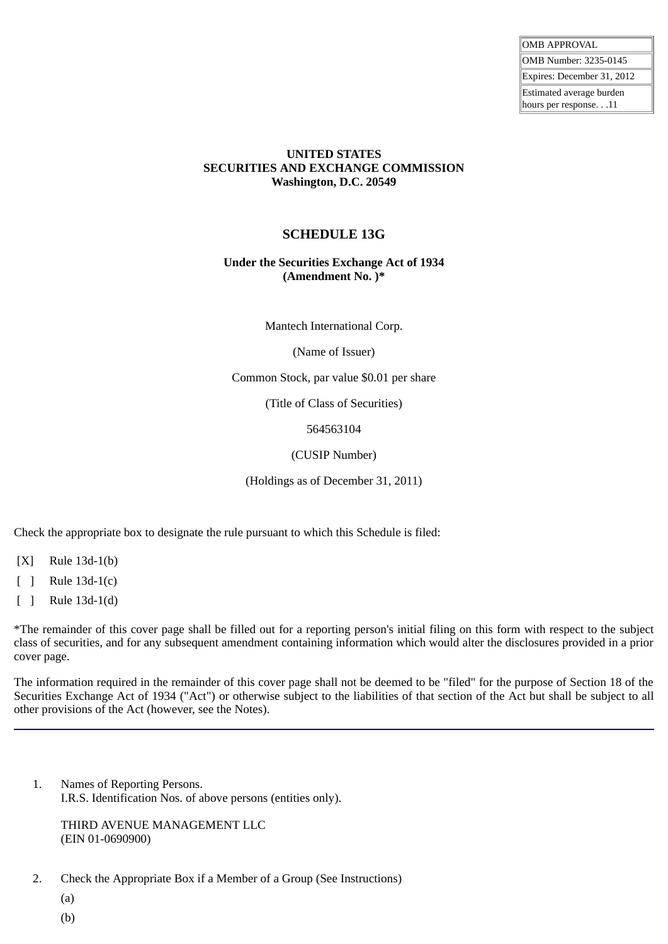| <b>OMB APPROVAL</b>                              |
|--------------------------------------------------|
| OMB Number: 3235-0145                            |
| Expires: December 31, 2012                       |
| Estimated average burden<br>hours per response11 |
|                                                  |

#### **UNITED STATES SECURITIES AND EXCHANGE COMMISSION Washington, D.C. 20549**

# **SCHEDULE 13G**

### **Under the Securities Exchange Act of 1934 (Amendment No. )\***

Mantech International Corp.

(Name of Issuer)

Common Stock, par value \$0.01 per share

(Title of Class of Securities)

564563104

(CUSIP Number)

(Holdings as of December 31, 2011)

Check the appropriate box to designate the rule pursuant to which this Schedule is filed:

[X] Rule 13d-1(b)

[ ] Rule 13d-1(c)

[ ] Rule 13d-1(d)

\*The remainder of this cover page shall be filled out for a reporting person's initial filing on this form with respect to the subject class of securities, and for any subsequent amendment containing information which would alter the disclosures provided in a prior cover page.

The information required in the remainder of this cover page shall not be deemed to be "filed" for the purpose of Section 18 of the Securities Exchange Act of 1934 ("Act") or otherwise subject to the liabilities of that section of the Act but shall be subject to all other provisions of the Act (however, see the Notes).

1. Names of Reporting Persons. I.R.S. Identification Nos. of above persons (entities only).

THIRD AVENUE MANAGEMENT LLC (EIN 01-0690900)

2. Check the Appropriate Box if a Member of a Group (See Instructions)

(a)

(b)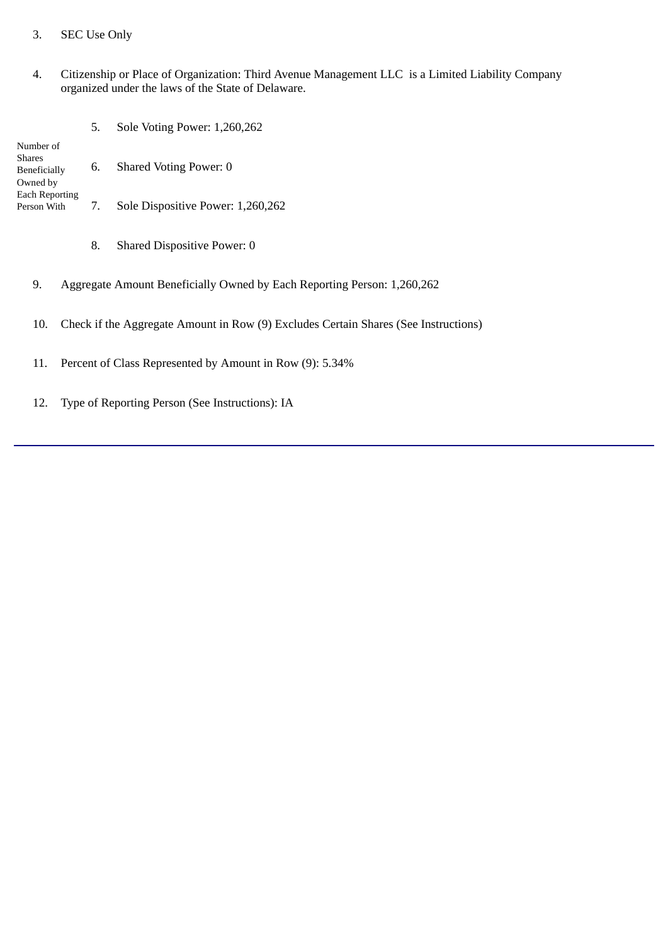## 3. SEC Use Only

#### 4. Citizenship or Place of Organization: Third Avenue Management LLC is a Limited Liability Company organized under the laws of the State of Delaware.

- Number of Shares Beneficially Owned by Each Reporting Person With 5. Sole Voting Power: 1,260,262 6. Shared Voting Power: 0 7. Sole Dispositive Power: 1,260,262
	- 8. Shared Dispositive Power: 0
	- 9. Aggregate Amount Beneficially Owned by Each Reporting Person: 1,260,262
	- 10. Check if the Aggregate Amount in Row (9) Excludes Certain Shares (See Instructions)
	- 11. Percent of Class Represented by Amount in Row (9): 5.34%
	- 12. Type of Reporting Person (See Instructions): IA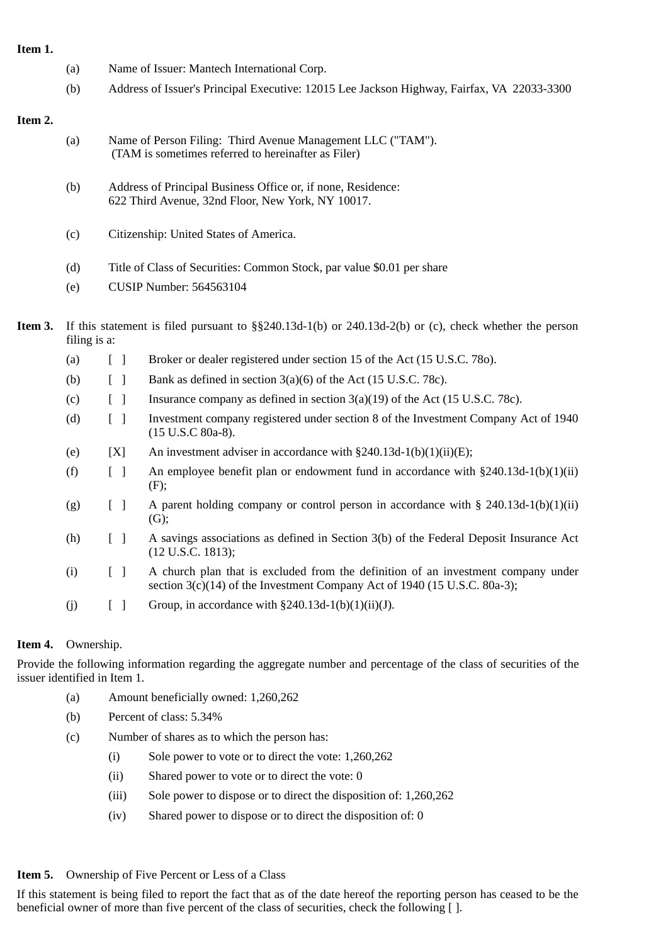**Item 1.**

- (a) Name of Issuer: Mantech International Corp.
- (b) Address of Issuer's Principal Executive: 12015 Lee Jackson Highway, Fairfax, VA 22033-3300

#### **Item 2.**

- (a) Name of Person Filing: Third Avenue Management LLC ("TAM"). (TAM is sometimes referred to hereinafter as Filer)
- (b) Address of Principal Business Office or, if none, Residence: 622 Third Avenue, 32nd Floor, New York, NY 10017.
- (c) Citizenship: United States of America.
- (d) Title of Class of Securities: Common Stock, par value \$0.01 per share
- (e) CUSIP Number: 564563104
- **Item 3.** If this statement is filed pursuant to §§240.13d-1(b) or 240.13d-2(b) or (c), check whether the person filing is a:
	- (a) [ ] Broker or dealer registered under section 15 of the Act (15 U.S.C. 78o).
	- (b)  $\boxed{\ }$  Bank as defined in section 3(a)(6) of the Act (15 U.S.C. 78c).
	- (c)  $\begin{bmatrix} \end{bmatrix}$  Insurance company as defined in section 3(a)(19) of the Act (15 U.S.C. 78c).
	- (d) [ ] Investment company registered under section 8 of the Investment Company Act of 1940 (15 U.S.C 80a-8).
	- (e)  $[X]$  An investment adviser in accordance with §240.13d-1(b)(1)(ii)(E);
	- (f)  $\left[ \right]$  An employee benefit plan or endowment fund in accordance with §240.13d-1(b)(1)(ii) (F);
	- (g)  $\begin{bmatrix} 1 \end{bmatrix}$  A parent holding company or control person in accordance with § 240.13d-1(b)(1)(ii) (G);
	- (h) [ ] A savings associations as defined in Section 3(b) of the Federal Deposit Insurance Act (12 U.S.C. 1813);
	- (i) [ ] A church plan that is excluded from the definition of an investment company under section 3(c)(14) of the Investment Company Act of 1940 (15 U.S.C. 80a-3);
	- (i)  $\qquad$  [ ] Group, in accordance with §240.13d-1(b)(1)(ii)(J).

## **Item 4.** Ownership.

Provide the following information regarding the aggregate number and percentage of the class of securities of the issuer identified in Item 1.

- (a) Amount beneficially owned: 1,260,262
- (b) Percent of class: 5.34%
- (c) Number of shares as to which the person has:
	- (i) Sole power to vote or to direct the vote: 1,260,262
	- (ii) Shared power to vote or to direct the vote: 0
	- (iii) Sole power to dispose or to direct the disposition of: 1,260,262
	- (iv) Shared power to dispose or to direct the disposition of: 0

#### **Item 5.** Ownership of Five Percent or Less of a Class

If this statement is being filed to report the fact that as of the date hereof the reporting person has ceased to be the beneficial owner of more than five percent of the class of securities, check the following [ ].